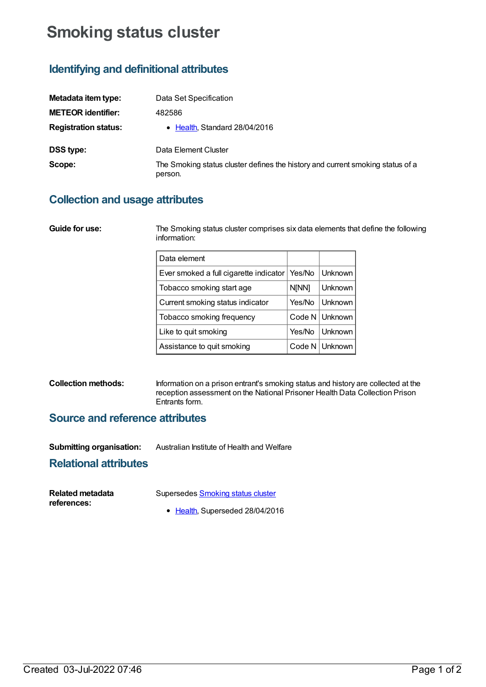# **Smoking status cluster**

# **Identifying and definitional attributes**

| Metadata item type:         | Data Set Specification                                                                    |
|-----------------------------|-------------------------------------------------------------------------------------------|
| <b>METEOR identifier:</b>   | 482586                                                                                    |
| <b>Registration status:</b> | • Health, Standard 28/04/2016                                                             |
| <b>DSS type:</b>            | Data Element Cluster                                                                      |
| Scope:                      | The Smoking status cluster defines the history and current smoking status of a<br>person. |

# **Collection and usage attributes**

| Guide for use: | The Smoking status cluster comprises six data elements that define the following<br>information: |        |                |  |
|----------------|--------------------------------------------------------------------------------------------------|--------|----------------|--|
|                | Data element                                                                                     |        |                |  |
|                | Ever smoked a full cigarette indicator                                                           | Yes/No | <b>Unknown</b> |  |
|                | Tobacco smoking start age                                                                        | N[NN]  | <b>Unknown</b> |  |
|                | Current smoking status indicator                                                                 | Yes/No | <b>Unknown</b> |  |
|                | Tobacco smoking frequency                                                                        | Code N | Unknown l      |  |
|                | Like to quit smoking                                                                             | Yes/No | <b>Unknown</b> |  |

#### **Collection methods:** Information on a prison entrant's smoking status and history are collected at the reception assessment on the National Prisoner Health Data Collection Prison Entrants form.

Assistance to quit smoking  $\vert$  Code N | Unknown

### **Source and reference attributes**

| <b>Submitting organisation:</b> | Australian Institute of Health and Welfare |
|---------------------------------|--------------------------------------------|
|---------------------------------|--------------------------------------------|

### **Relational attributes**

| Related metadata | Supersedes Smoking status cluster |
|------------------|-----------------------------------|
| references:      | • Health, Superseded 28/04/2016   |